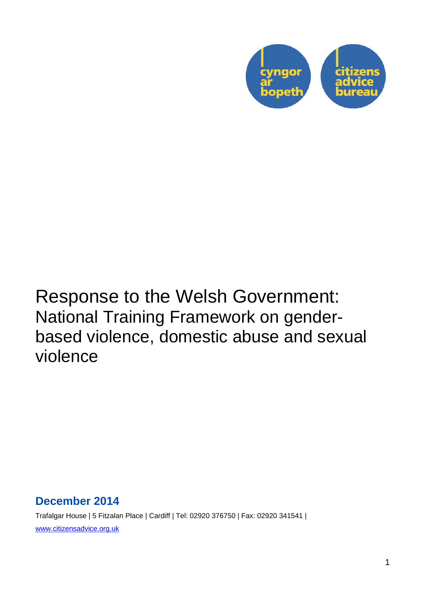

# Response to the Welsh Government: National Training Framework on genderbased violence, domestic abuse and sexual violence

## **December 2014**

Trafalgar House | 5 Fitzalan Place | Cardiff | Tel: 02920 376750 | Fax: 02920 341541 | www.citizensadvice.org.uk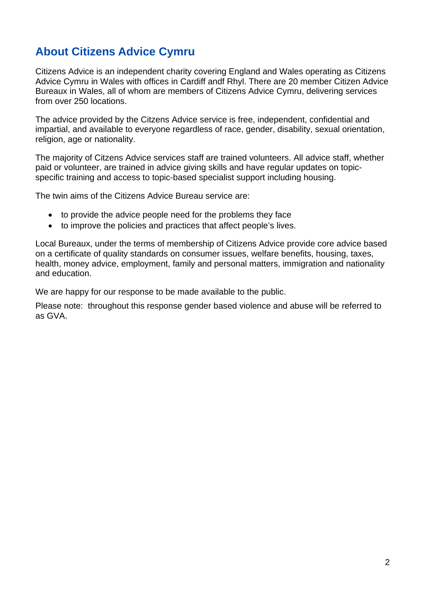## **About Citizens Advice Cymru**

Citizens Advice is an independent charity covering England and Wales operating as Citizens Advice Cymru in Wales with offices in Cardiff andf Rhyl. There are 20 member Citizen Advice Bureaux in Wales, all of whom are members of Citizens Advice Cymru, delivering services from over 250 locations.

The advice provided by the Citzens Advice service is free, independent, confidential and impartial, and available to everyone regardless of race, gender, disability, sexual orientation, religion, age or nationality.

The majority of Citzens Advice services staff are trained volunteers. All advice staff, whether paid or volunteer, are trained in advice giving skills and have regular updates on topicspecific training and access to topic-based specialist support including housing.

The twin aims of the Citizens Advice Bureau service are:

- to provide the advice people need for the problems they face
- to improve the policies and practices that affect people's lives.

Local Bureaux, under the terms of membership of Citizens Advice provide core advice based on a certificate of quality standards on consumer issues, welfare benefits, housing, taxes, health, money advice, employment, family and personal matters, immigration and nationality and education.

We are happy for our response to be made available to the public.

Please note: throughout this response gender based violence and abuse will be referred to as GVA.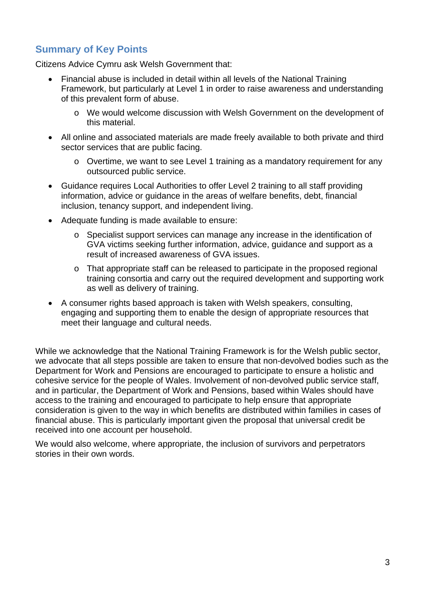### **Summary of Key Points**

Citizens Advice Cymru ask Welsh Government that:

- Financial abuse is included in detail within all levels of the National Training Framework, but particularly at Level 1 in order to raise awareness and understanding of this prevalent form of abuse.
	- o We would welcome discussion with Welsh Government on the development of this material.
- All online and associated materials are made freely available to both private and third sector services that are public facing.
	- o Overtime, we want to see Level 1 training as a mandatory requirement for any outsourced public service.
- Guidance requires Local Authorities to offer Level 2 training to all staff providing information, advice or guidance in the areas of welfare benefits, debt, financial inclusion, tenancy support, and independent living.
- Adequate funding is made available to ensure:
	- o Specialist support services can manage any increase in the identification of GVA victims seeking further information, advice, guidance and support as a result of increased awareness of GVA issues.
	- o That appropriate staff can be released to participate in the proposed regional training consortia and carry out the required development and supporting work as well as delivery of training.
- A consumer rights based approach is taken with Welsh speakers, consulting, engaging and supporting them to enable the design of appropriate resources that meet their language and cultural needs.

While we acknowledge that the National Training Framework is for the Welsh public sector, we advocate that all steps possible are taken to ensure that non-devolved bodies such as the Department for Work and Pensions are encouraged to participate to ensure a holistic and cohesive service for the people of Wales. Involvement of non-devolved public service staff, and in particular, the Department of Work and Pensions, based within Wales should have access to the training and encouraged to participate to help ensure that appropriate consideration is given to the way in which benefits are distributed within families in cases of financial abuse. This is particularly important given the proposal that universal credit be received into one account per household.

We would also welcome, where appropriate, the inclusion of survivors and perpetrators stories in their own words.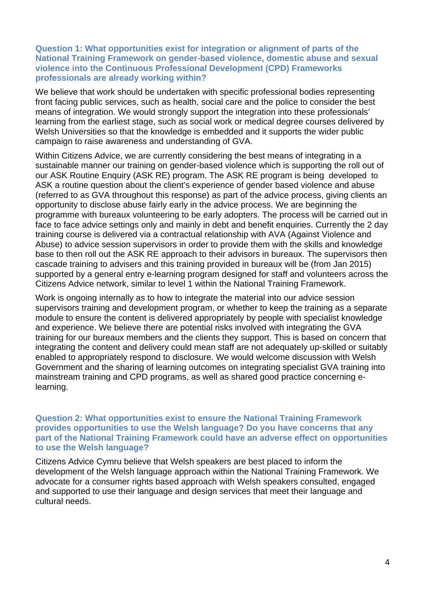#### **Question 1: What opportunities exist for integration or alignment of parts of the National Training Framework on gender-based violence, domestic abuse and sexual violence into the Continuous Professional Development (CPD) Frameworks professionals are already working within?**

We believe that work should be undertaken with specific professional bodies representing front facing public services, such as health, social care and the police to consider the best means of integration. We would strongly support the integration into these professionals' learning from the earliest stage, such as social work or medical degree courses delivered by Welsh Universities so that the knowledge is embedded and it supports the wider public campaign to raise awareness and understanding of GVA.

Within Citizens Advice, we are currently considering the best means of integrating in a sustainable manner our training on gender-based violence which is supporting the roll out of our ASK Routine Enquiry (ASK RE) program. The ASK RE program is being developed to ASK a routine question about the client's experience of gender based violence and abuse (referred to as GVA throughout this response) as part of the advice process, giving clients an opportunity to disclose abuse fairly early in the advice process. We are beginning the programme with bureaux volunteering to be early adopters. The process will be carried out in face to face advice settings only and mainly in debt and benefit enquiries. Currently the 2 day training course is delivered via a contractual relationship with AVA (Against Violence and Abuse) to advice session supervisors in order to provide them with the skills and knowledge base to then roll out the ASK RE approach to their advisors in bureaux. The supervisors then cascade training to advisers and this training provided in bureaux will be (from Jan 2015) supported by a general entry e-learning program designed for staff and volunteers across the Citizens Advice network, similar to level 1 within the National Training Framework.

Work is ongoing internally as to how to integrate the material into our advice session supervisors training and development program, or whether to keep the training as a separate module to ensure the content is delivered appropriately by people with specialist knowledge and experience. We believe there are potential risks involved with integrating the GVA training for our bureaux members and the clients they support. This is based on concern that integrating the content and delivery could mean staff are not adequately up-skilled or suitably enabled to appropriately respond to disclosure. We would welcome discussion with Welsh Government and the sharing of learning outcomes on integrating specialist GVA training into mainstream training and CPD programs, as well as shared good practice concerning elearning.

**Question 2: What opportunities exist to ensure the National Training Framework provides opportunities to use the Welsh language? Do you have concerns that any part of the National Training Framework could have an adverse effect on opportunities to use the Welsh language?** 

Citizens Advice Cymru believe that Welsh speakers are best placed to inform the development of the Welsh language approach within the National Training Framework. We advocate for a consumer rights based approach with Welsh speakers consulted, engaged and supported to use their language and design services that meet their language and cultural needs.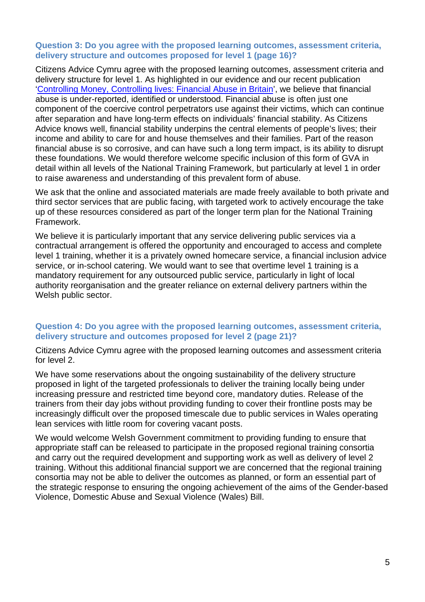#### **Question 3: Do you agree with the proposed learning outcomes, assessment criteria, delivery structure and outcomes proposed for level 1 (page 16)?**

Citizens Advice Cymru agree with the proposed learning outcomes, assessment criteria and delivery structure for level 1. As highlighted in our evidence and our recent publication 'Controlling Money, Controlling lives: Financial Abuse in Britain', we believe that financial abuse is under-reported, identified or understood. Financial abuse is often just one component of the coercive control perpetrators use against their victims, which can continue after separation and have long-term effects on individuals' financial stability. As Citizens Advice knows well, financial stability underpins the central elements of people's lives; their income and ability to care for and house themselves and their families. Part of the reason financial abuse is so corrosive, and can have such a long term impact, is its ability to disrupt these foundations. We would therefore welcome specific inclusion of this form of GVA in detail within all levels of the National Training Framework, but particularly at level 1 in order to raise awareness and understanding of this prevalent form of abuse.

We ask that the online and associated materials are made freely available to both private and third sector services that are public facing, with targeted work to actively encourage the take up of these resources considered as part of the longer term plan for the National Training Framework.

We believe it is particularly important that any service delivering public services via a contractual arrangement is offered the opportunity and encouraged to access and complete level 1 training, whether it is a privately owned homecare service, a financial inclusion advice service, or in-school catering. We would want to see that overtime level 1 training is a mandatory requirement for any outsourced public service, particularly in light of local authority reorganisation and the greater reliance on external delivery partners within the Welsh public sector.

#### **Question 4: Do you agree with the proposed learning outcomes, assessment criteria, delivery structure and outcomes proposed for level 2 (page 21)?**

Citizens Advice Cymru agree with the proposed learning outcomes and assessment criteria for level 2.

We have some reservations about the ongoing sustainability of the delivery structure proposed in light of the targeted professionals to deliver the training locally being under increasing pressure and restricted time beyond core, mandatory duties. Release of the trainers from their day jobs without providing funding to cover their frontline posts may be increasingly difficult over the proposed timescale due to public services in Wales operating lean services with little room for covering vacant posts.

We would welcome Welsh Government commitment to providing funding to ensure that appropriate staff can be released to participate in the proposed regional training consortia and carry out the required development and supporting work as well as delivery of level 2 training. Without this additional financial support we are concerned that the regional training consortia may not be able to deliver the outcomes as planned, or form an essential part of the strategic response to ensuring the ongoing achievement of the aims of the Gender-based Violence, Domestic Abuse and Sexual Violence (Wales) Bill.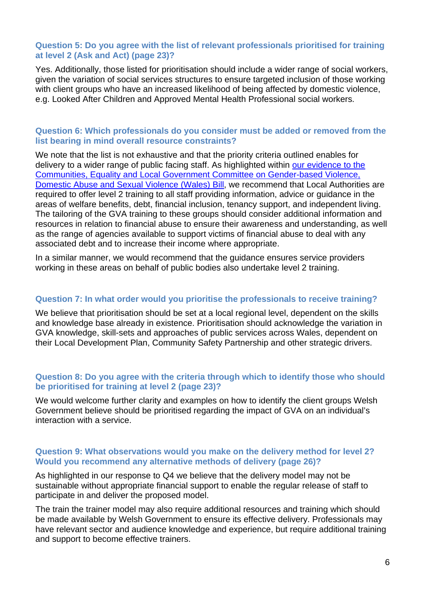#### **Question 5: Do you agree with the list of relevant professionals prioritised for training at level 2 (Ask and Act) (page 23)?**

Yes. Additionally, those listed for prioritisation should include a wider range of social workers, given the variation of social services structures to ensure targeted inclusion of those working with client groups who have an increased likelihood of being affected by domestic violence, e.g. Looked After Children and Approved Mental Health Professional social workers.

#### **Question 6: Which professionals do you consider must be added or removed from the list bearing in mind overall resource constraints?**

We note that the list is not exhaustive and that the priority criteria outlined enables for delivery to a wider range of public facing staff. As highlighted within our evidence to the Communities, Equality and Local Government Committee on Gender-based Violence, Domestic Abuse and Sexual Violence (Wales) Bill, we recommend that Local Authorities are required to offer level 2 training to all staff providing information, advice or guidance in the areas of welfare benefits, debt, financial inclusion, tenancy support, and independent living. The tailoring of the GVA training to these groups should consider additional information and resources in relation to financial abuse to ensure their awareness and understanding, as well as the range of agencies available to support victims of financial abuse to deal with any associated debt and to increase their income where appropriate.

In a similar manner, we would recommend that the guidance ensures service providers working in these areas on behalf of public bodies also undertake level 2 training.

#### **Question 7: In what order would you prioritise the professionals to receive training?**

We believe that prioritisation should be set at a local regional level, dependent on the skills and knowledge base already in existence. Prioritisation should acknowledge the variation in GVA knowledge, skill-sets and approaches of public services across Wales, dependent on their Local Development Plan, Community Safety Partnership and other strategic drivers.

#### **Question 8: Do you agree with the criteria through which to identify those who should be prioritised for training at level 2 (page 23)?**

We would welcome further clarity and examples on how to identify the client groups Welsh Government believe should be prioritised regarding the impact of GVA on an individual's interaction with a service.

#### **Question 9: What observations would you make on the delivery method for level 2? Would you recommend any alternative methods of delivery (page 26)?**

As highlighted in our response to Q4 we believe that the delivery model may not be sustainable without appropriate financial support to enable the regular release of staff to participate in and deliver the proposed model.

The train the trainer model may also require additional resources and training which should be made available by Welsh Government to ensure its effective delivery. Professionals may have relevant sector and audience knowledge and experience, but require additional training and support to become effective trainers.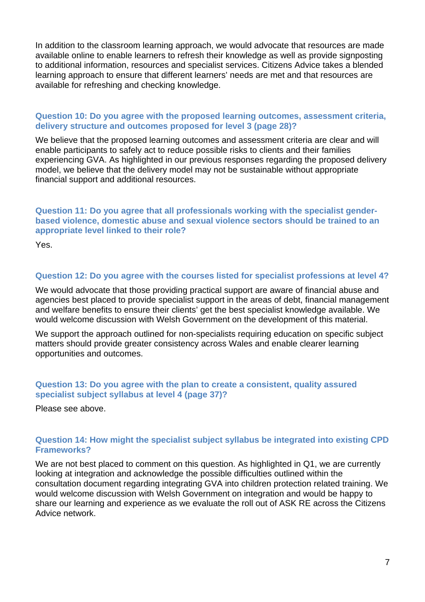In addition to the classroom learning approach, we would advocate that resources are made available online to enable learners to refresh their knowledge as well as provide signposting to additional information, resources and specialist services. Citizens Advice takes a blended learning approach to ensure that different learners' needs are met and that resources are available for refreshing and checking knowledge.

#### **Question 10: Do you agree with the proposed learning outcomes, assessment criteria, delivery structure and outcomes proposed for level 3 (page 28)?**

We believe that the proposed learning outcomes and assessment criteria are clear and will enable participants to safely act to reduce possible risks to clients and their families experiencing GVA. As highlighted in our previous responses regarding the proposed delivery model, we believe that the delivery model may not be sustainable without appropriate financial support and additional resources.

**Question 11: Do you agree that all professionals working with the specialist genderbased violence, domestic abuse and sexual violence sectors should be trained to an appropriate level linked to their role?** 

Yes.

#### **Question 12: Do you agree with the courses listed for specialist professions at level 4?**

We would advocate that those providing practical support are aware of financial abuse and agencies best placed to provide specialist support in the areas of debt, financial management and welfare benefits to ensure their clients' get the best specialist knowledge available. We would welcome discussion with Welsh Government on the development of this material.

We support the approach outlined for non-specialists requiring education on specific subject matters should provide greater consistency across Wales and enable clearer learning opportunities and outcomes.

#### **Question 13: Do you agree with the plan to create a consistent, quality assured specialist subject syllabus at level 4 (page 37)?**

Please see above.

#### **Question 14: How might the specialist subject syllabus be integrated into existing CPD Frameworks?**

We are not best placed to comment on this question. As highlighted in Q1, we are currently looking at integration and acknowledge the possible difficulties outlined within the consultation document regarding integrating GVA into children protection related training. We would welcome discussion with Welsh Government on integration and would be happy to share our learning and experience as we evaluate the roll out of ASK RE across the Citizens Advice network.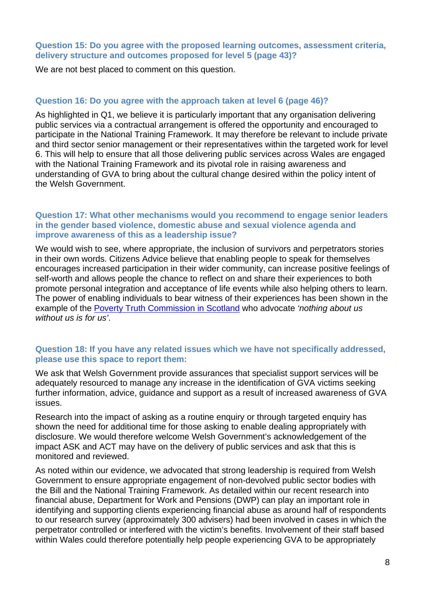#### **Question 15: Do you agree with the proposed learning outcomes, assessment criteria, delivery structure and outcomes proposed for level 5 (page 43)?**

We are not best placed to comment on this question.

#### **Question 16: Do you agree with the approach taken at level 6 (page 46)?**

As highlighted in Q1, we believe it is particularly important that any organisation delivering public services via a contractual arrangement is offered the opportunity and encouraged to participate in the National Training Framework. It may therefore be relevant to include private and third sector senior management or their representatives within the targeted work for level 6. This will help to ensure that all those delivering public services across Wales are engaged with the National Training Framework and its pivotal role in raising awareness and understanding of GVA to bring about the cultural change desired within the policy intent of the Welsh Government.

#### **Question 17: What other mechanisms would you recommend to engage senior leaders in the gender based violence, domestic abuse and sexual violence agenda and improve awareness of this as a leadership issue?**

We would wish to see, where appropriate, the inclusion of survivors and perpetrators stories in their own words. Citizens Advice believe that enabling people to speak for themselves encourages increased participation in their wider community, can increase positive feelings of self-worth and allows people the chance to reflect on and share their experiences to both promote personal integration and acceptance of life events while also helping others to learn. The power of enabling individuals to bear witness of their experiences has been shown in the example of the Poverty Truth Commission in Scotland who advocate *'nothing about us without us is for us'*.

#### **Question 18: If you have any related issues which we have not specifically addressed, please use this space to report them:**

We ask that Welsh Government provide assurances that specialist support services will be adequately resourced to manage any increase in the identification of GVA victims seeking further information, advice, guidance and support as a result of increased awareness of GVA issues.

Research into the impact of asking as a routine enquiry or through targeted enquiry has shown the need for additional time for those asking to enable dealing appropriately with disclosure. We would therefore welcome Welsh Government's acknowledgement of the impact ASK and ACT may have on the delivery of public services and ask that this is monitored and reviewed.

As noted within our evidence, we advocated that strong leadership is required from Welsh Government to ensure appropriate engagement of non-devolved public sector bodies with the Bill and the National Training Framework. As detailed within our recent research into financial abuse, Department for Work and Pensions (DWP) can play an important role in identifying and supporting clients experiencing financial abuse as around half of respondents to our research survey (approximately 300 advisers) had been involved in cases in which the perpetrator controlled or interfered with the victim's benefits. Involvement of their staff based within Wales could therefore potentially help people experiencing GVA to be appropriately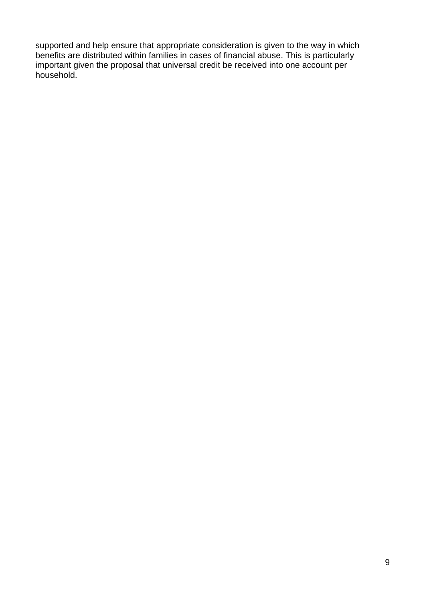supported and help ensure that appropriate consideration is given to the way in which benefits are distributed within families in cases of financial abuse. This is particularly important given the proposal that universal credit be received into one account per household.